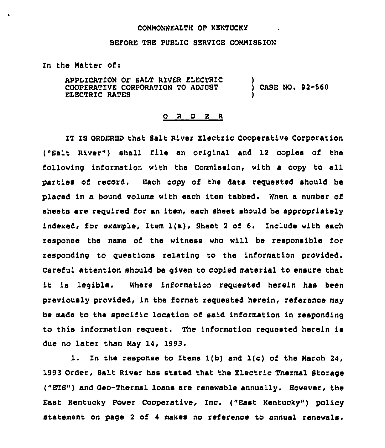## COMMONWEALTH OF KENTUCKY

## BEFORE THE PUBLIC SERVICE COMMISSION

Zn the Matter of <sup>i</sup>

APPLICATION OF SALT RIVER ELECTRIC COOPERATIVE CORPORATION TO ADJUST ELECTRIC RATES ) ) CASE NO. 92-560 )

## 0 <sup>R</sup> <sup>D</sup> E <sup>R</sup>

IT IS ORDERED that Salt River Electric Cooperative Corporation ("Salt River") shall file an original and 12 copies of the following information with the Commission, with a copy to all parties of record. Each copy of the data requested should be placed in a bound volume with each item tabbed. When a number of sheets are required for an item, each sheet should be appropriately indexed, for example, Item 1(a), Sheet <sup>2</sup> of 6. Include with each response the name of the witness who will be responsible for responding to questions relating to the information provided. Careful attention should be given to copied material to ensure that it is legible. Where information requested herein has been previously provided, in the format requested herein, reference may be made to the specific location of said information in responding to this information request. The information requested herein is due no later than May 14, 1993.

1. Zn the response to Items 1(b) and 1(c) of the March 24, 1993 Order, Salt River has stated that the Electric Thermal Storage ("ETS") and Geo-Thermal loans are renewable annually, However, the East Kentucky Power Cooperative, Inc. ("East Kentucky" ) policy statement on page <sup>2</sup> of 4 makes no reference to annual renewals.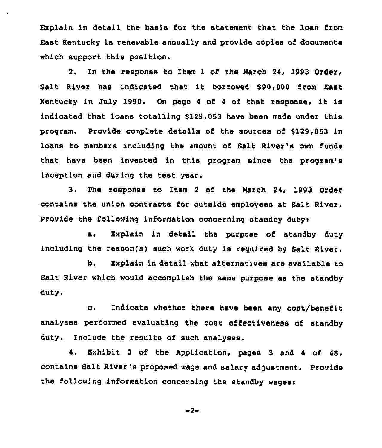Explain in detail the basis for the statement that the loan from East Kentucky is renewable annually and provide copies of documents which support this position.

2. In the response to Item 1 of the March 24, 1993 Order, Salt River has indicated that it borrowed \$90,000 from East Kentucky in July 1990. On page 4 of 4 of that response, it is indicated that loans totalling \$129,053 have been made under this program, provide complete details of the sources of 9129,053 in loans to members including the amount of Salt River's own funds that have been invested in this program since the program's inception and during the test year.

3. The response to Item <sup>2</sup> of the March 24, 1993 Order contains the union contracts for outside employees at Salt River. Provide the following information concerning standby dutys

a. Explain in detail the purpose of standby duty including the reason(s) such work duty is required by Salt River.

b. Explain in detail what alternatives are available to Salt River which would accomplish the same purpose as the standby duty.

c. Indicate whether there have been any cost/benefit analyses performed evaluating the cost effectiveness of standby duty. Include the results of such analyses.

4. Exhibit <sup>3</sup> of the Application, pages <sup>3</sup> and <sup>4</sup> of 48, contains Salt River's proposed wage and salary adjustment. Provide the following information concerning the standby wages:

$$
-2-
$$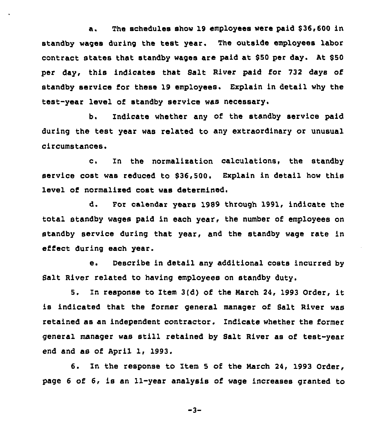a. The schedules show 19 employees were paid \$36,600 in standby wages during the test year. The outside employees labor contract states that standby wages are paid at \$50 per day. At \$50 per day, this indicates that Salt River paid for 732 days of standby service for these 19 employees. Explain in detail why the test-year level of standby service was necessary.

b. Indicate whether any of the standby service paid during the test year was related to any extraordinary or unusual circumstances.

c. In the normalization calculations, the standby service cost was reduced to \$36,500. Explain in detail how this level of normalised coat was determined.

d. For calendar years 1989 through 1991, indicate the total standby wages paid in each year. the number of employees on standby service during that year, and the standby wage rate in effect during each year.

e. Describe in detail any additional costs incurred by Salt River related to having employees on standby duty.

5. In response to item 3(d) of the March 24, <sup>1993</sup> Order, it is indicated that the former general manager of Balt River was retained as an independent contractor, Indicate whether the former general manager was still retained by Salt River as of test-year end and as of April 1, 1993.

6. In the response to Item <sup>5</sup> of the March 24, 1993 Order, page <sup>6</sup> of 6, is an 11-year analysis of wage increases granted to

 $-3-$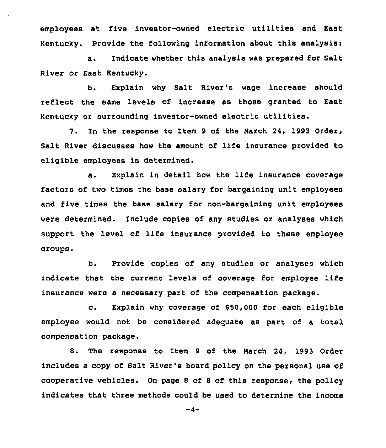employees at five investor-owned electric utilities and East Kentucky. Provide the following information about this analysis:

a. Indicate whether this analysis was prepared for Salt River or East Kentucky.

b. Explain why Salt River's wage increase should reflect the same levels of increase as those granted to East Kentucky or surrounding investor-owned electric utilities.

7. In the response to Item <sup>9</sup> of the Narch 24, 1993 Order, Salt River discusses how the amount of life insurance provided to eligible employees is determined.

a. Explain in detail how the life insurance coverage factors of two times the base salary for bargaining unit employees and five times the base salary for non-bargaining unit employees were determined. Include copies of any studies or analyses which support the level of life insurance provided to these employee groups

b. Provide copies of any studies or analyses which indicate that the current levels of coverage for employee life insurance were a necessary part of the ccmpensation package.

c. Explain why coverage of \$50,000 for each eligible employee would not be considered adequate as part of a total compensation package.

8. The response to Item <sup>9</sup> of the Narch 24, 1993 Order includes a copy of Salt River's board policy on the personal use of cooperative vehicles. On page <sup>S</sup> of 8 of this response, the policy indicates that three methods could be used to determine the income

 $-4-$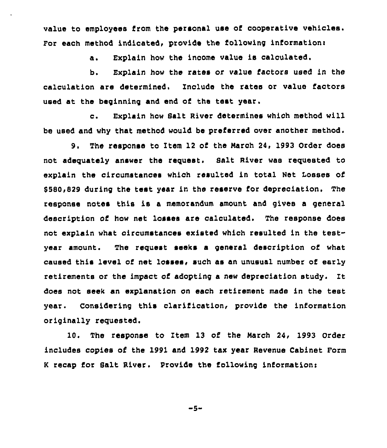value to employees from the personal use of cooperative vehicles. For each method indicated, provide the following information:

a. Explain how the income value is calculated.

b, Explain how the rates or value factors used in the calculation are determined. Include the rates or value factors used at the beginning and end of the test year.

c. Explain how Salt River determines which method will be used and why that method would be preferred over another method.

9. The response to Item 12 of the March 24, 1993 Order does not adequately answer the request. Salt River was requested to explain the circumstances which resulted in total Net Losses of \$580,829 during the test year in the reserve for depreciation. The response notes this is a memorandum amount, and gives a general description of how net losses are calculated. The response does not explain what circumstances existed which resulted in the testyear amount. The request seeks a general description of what caused this level of net losses, such as an unusual number of early retirements or the impact of adopting a new depreciation study. It does not seek an explanation on each retirement made in the test year. Considering this clarification, provide the information originally requested.

10. The response to Item 13 of the March 24, 1993 Order includes copies of the 1991 and 1992 tax year Revenue Cabinet Form K recap for Salt River. Provide the following information:

-5-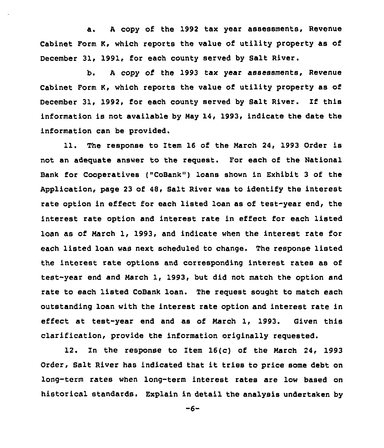a. <sup>A</sup> copy of the 1992 tax year assessments, Revenue Cabinet Form K, which reports the value of utility property as of December 31, 1991, for each county served by Salt River.

b. <sup>A</sup> copy of the 1993 tax year assessments, Revenue Cabinet Form K, which reports the value of utility property as of December 31, 1992, for each county served by Salt River. If this information is not available by Nay 14, 1993, indicate the date the information can be provided.

ll. The response to Item <sup>16</sup> of the Narch 24, <sup>1993</sup> Order is not an adequate answer to the request. For each of the National Bank for Cooperatives ("CoBank") loans shown in Exhibit 3 of the Application, page 23 of 48, Salt River was to identify the interest rate option in effect for each listed loan as of test-year end, the interest rate option and interest rate in effect for each listed loan as of Narch 1, 1993, and indicate when the interest rate for each listed loan was next scheduled to change. The response listed the interest rate options and corresponding interest rates as of test-year end and Narch 1, 1993, but did not match the option and rate to each listed CoBank loan. The request sought to match each outstanding loan with the interest rate option and interest rate in effect at test-year end and as of Narch 1, 1993. Given this clarification, provide the information originally requested.

12. In the response to Item 16(c) of the Narch 24, 1993 Order, Salt River has indicated that it tries to price some debt on long-term rates when long-term interest rates are low based on historical standards. Explain in detail the analysis undertaken by

 $-6-$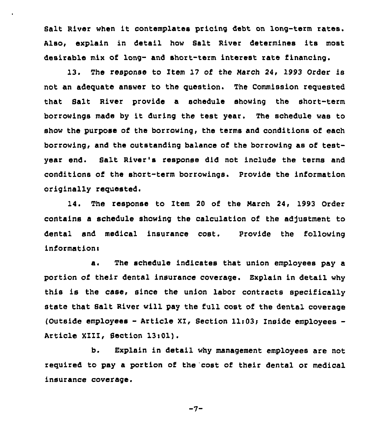Salt River when it contemplates pricing debt on long-term rates. Also, explain in detail how Salt River determines its most desirable mix of. long- and short-term interest rate financing.

13. The response to Item 17 of the March 24, 1993 Order is not an adequate answer to the question. The Commission requested that Salt River provide a schedule showing the short-term borrowings made by it during the test year. The schedule was to show the purpose of the borrowing, the terms and conditions of each borrowing, and the outstanding balance of the borrowing as of testyear end. Salt River's response did not include the terms and conditions of the short-term borrowings. Provide the information originally requested.

14. The response to Item 20 of the March 24, 1993 Order contains a schedule showing the calculation of the adjustment to dental and medical insurance cost. Provide the following information<

a. The schedule indicates that union employees pay a portion of their dental insurance coverage. Explain in detail why this is the case, since the union labor contracts specifically state that Salt River will pay the full cost of the dental coverage (Outside employees - Article XI, Section 11:03; Inside employees -Article XIII, Section 13i01).

b. Explain in detail why management employees are not required to pay a portion of the cost of their dental or medical insurance coverage.

 $-7-$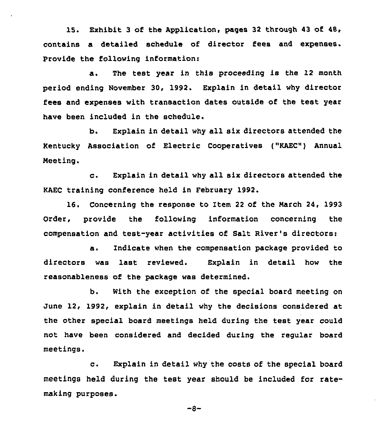15. Exhibit 3 of the Application, pages 32 through 43 of 48, contains a detailed schedule of director fees and expenses. Provide the following informations

a. The test year in this proceeding is the 12 month period ending November 30, 1992. Explain in detail why director fees and expenses with transaction dates outside of the test year have been included in the schedule.

b. Explain in detail why all six directors attended the Kentucky Association of Electric Cooperatives ("KAEC") Annual Meeting.

c. Explain in detail why all six directors attended the KAEC training conference held in February 1992.

16. Concerning the response to Item 22 of the March 24, 1993 Order, provide the following information concerning the compensation and test-year activities of Salt River's directorsi

a. Indicate when the compensation package provided to directors was last reviewed. Explain in detail how the reasonableness of the package was determined.

b. With the exception of the special board meeting on June 12, 1992, explain in detail why the decisions considered at the other special board meetings held during the test year could not have been considered and decided during the regular board meetings.

c. Explain in detail why the costs of the special board meetings held during the test year should be included for ratemaking purposes.

 $-8-$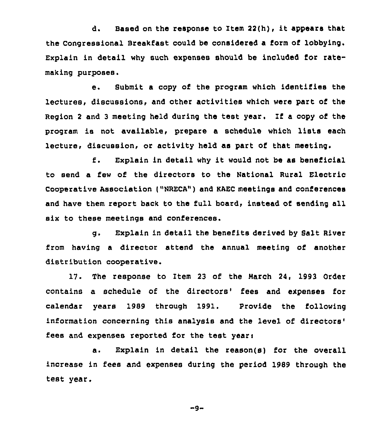d. Based on the response to Item 22(h), it appears that the Congressional Breakfast could be considered a form of lobbying. Explain in detail why such expenses should be included for ratemaking purposes.

e. Submit <sup>a</sup> copy of the program which identifies the lectures, discussions, and other activities which were part of the Region <sup>2</sup> and <sup>3</sup> meeting held during the test year. If a copy of the program is not available, prepare <sup>a</sup> schedule which lists each lecture, discussion, or activity held as part of that meeting.

f. Explain in detail why it would not be as beneficial to send a few of the directors to the National Rural Electric Cooperative Association ("NRECA") and KAEC meetings and conferences and have them report back to the full board, instead of sending all six to these meetings and conferences.

g. Explain in detail the benefits derived by Salt River from having a director attend the annual meeting of another distribution cooperative.

17. The response to Item 23 of the March 2A, 1993 Order contains a schedule of the directors' fees and expenses for calendar years 1989 through 1991. Provide the following information concerning this analysis and the level of directors' fees and expenses reported for the test years

a. Explain in detail the reason(s) for the overall increase in fees and expenses during the period 1989 through the test year.

 $-9-$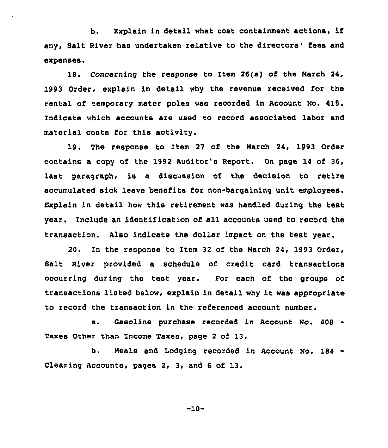b. Explain in detail what cost containment actions, if any, Salt River has undertaken relative to the directors' fees and expenses.

18. Concerning the response to Item 26(a) of the March 24, 1993 Order, explain in detail why the revenue received for the rental of temporary meter poles was recorded in Account No. 415. indicate which accounts are used to record associated labor and material costs for this activity.

19. The response to Item <sup>27</sup> of the March 24, 1993 Order contains a copy of the 1992 Auditor's Report. On page 14 of 36, last paragraph, is a discussion of the decision to retire accumulated sick leave benefits for non-bargaining unit employees. Explain in detail how this retirement was handled during the test year. Include an identification of all accounts used to record the transaction. Also indicate the dollar impact on the test year.

20. In the response to Item 32 of the March 24, 1993 Order, Salt River provided a schedule of credit card transactions occurring during the test year. Por each of the groups of transactions listed below, explain in detail why it was appropriate to record the transaction in the referenced account number.

a. Gasoline purchase recorded in Account No. 408 -Taxes Other than Income Taxes, page <sup>2</sup> of 13.

b. Neals and Lodging recorded in Account No. 184 Clearing Accounts, pages 2, 3, and 6 of 13.

 $-10-$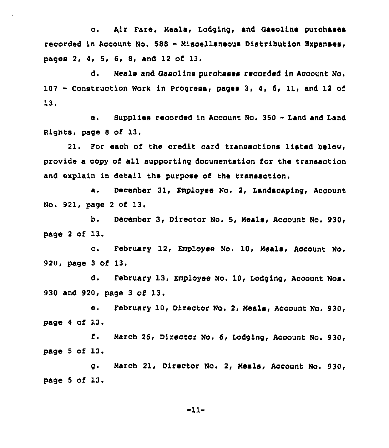c. Air Fare, Meals, Lodging, and Gasoline purchases recorded in Account No. <sup>588</sup> - Hiscellaneous Distribution Expenses, pages 2, 4, 5, 6, 8, and 12 of 13.

d. Heals and Oasoline purchases recorded in Account No. <sup>107</sup> - Construction Work in progress, pages 3, 4, 6, ll, and <sup>12</sup> of 13,

e. Supplies recorded in Aocount No. <sup>350</sup> - Land and Land Rights, page 8 of 13.

21. For each of the credit card transactions listed below, provide a copy of all supporting documentation for the transaction and explain in detail the purpose of the transaction.

a. Deoember 31, Employee No, 2, Landscaping, Account No. 921, page <sup>2</sup> of 13.

b. December 3, Director No. 5, Meals, Account No. 930, page <sup>2</sup> of 13.

c. February 12, Employee No. 10, Heals< Account No. 920, page <sup>3</sup> of 13.

d. February 13, Employee No. 10, Lodging, Account Nos. 930 and 920, page <sup>3</sup> of 13.

e. February 10, Director No. 2, Heals, Account No. 930, page <sup>4</sup> of 13.

f. Harch 26, Director No. 6, Lodging, Account No. 930, page  $5$  of  $13$ .

g. March 21, Director No. 2, Meals, Account No. 930, page <sup>5</sup> of 13.

-11-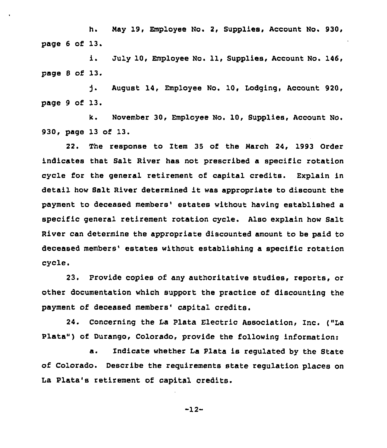h. May 19, Employee No. 2, Supplies, Account No. 930, page <sup>6</sup> of 13.

i. July 10, Employee No. 11, Supplies, Account No. 146, page <sup>8</sup> of 13.

ጎ. August 14, Employee No. 10, Lodging, Account 920, Page 9 of 13,

k. November 30, Employee No. 10, Supplies, Account No. 930, page 13 of 13.

22. The response to item 35 of the Narch 24, 1993 Order indicates that Salt River has not prescribed a specific rotation cycle for the general retirement of capital credits. Explain in detail how Balt River determined it was appropriate to discount the payment to deceased members' estates without having established a specific general retirement rotation cycle. Also explain how Salt River can determine the appropriate discounted amount to be paid to deceased members' estates without establishing a specific rotation cycle.

23. Provide copies of any authoritative studies, reports, or other documentation which support the practice of discounting the payment of deceased members' capital credits.

24. Concerning the Ia Plata Electric Association, Inc. ("La Plate") of Durango, Colorado, provide the following information:

a. Indicate whether La Plate is regulated by the State of Colorado. Describe the requirements state regulation places on La Plate's retirement of capital credits.

-12-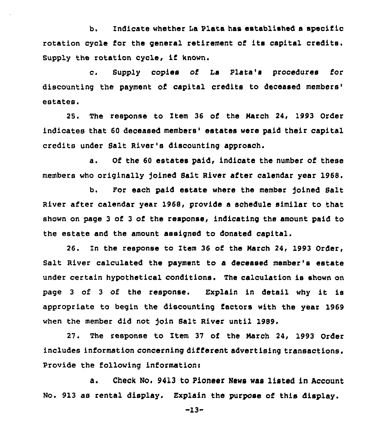b. Indicate whether Ia Plata has established a specific rotation cycle for the general retirement of its capital credits. Supply the rotation cycle, if known.

c. Supply copies of ia Piata's procedures for discounting the payment of capital credits to deceased members' estates.

25. The response to Item 36 of the Harch 24, 1993 Order indicates that 60 deceased members' estates were paid their capital credits under Salt River's discounting approach.

a. Of the <sup>60</sup> estates paid, indicate the number of these members who originally )oined Salt River after calendar year 1968.

b. For each paid estate where the member Joined Salt River after calendar year 1968, provide a schedule similar to that shown on page 3 of <sup>3</sup> of the response, indicating the amount paid to the estate and the amount assigned to donated capital.

26. In the response to Item 36 of the Narch 24, 1993 Order, Salt River calculated the payment to a deceased member's estate under certain hypothetical conditions. The calculation is shown on page <sup>3</sup> of <sup>3</sup> of the response. Explain in detail why it is appropriate to begin the discounting factors with the year 1969 when the member did not join Salt River until 1989.

27. The response to Item 37 of the Narch 24, 1993 Order includes information concerning different advertising transactions. Provide the following informationr

a. Check No. 9413 to Pioneer News was listed in Account No. 913 as rental display. Explain the purpose of this display.

-13-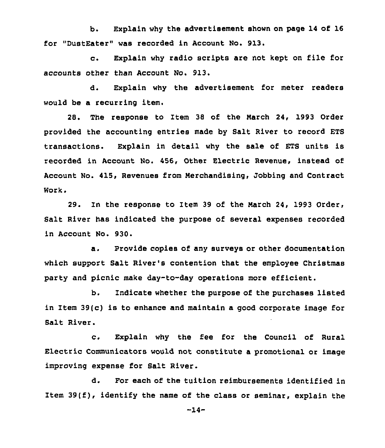b. Explain why the advertisement shown on page 14 of 16 for "DustEater" was recorded in Account No. 913.

c. Explain why radio scripts are not kept on file for accounts other than Account No. 913.

d. Explain why the advertisement for meter readers would be a recurring item.

28. The response to Item 38 of the Narch 24, 1993 Order provided the accounting entries made by Salt River to record ETS transactions. Explain in detail why the sale of ETS units is recorded in Account No. 456, Other Electric Revenue, instead of Account No. 415, Revenues from Merchandising, Jobbing and Contract Work.

29. In the response to Item 39 of the Narch 24, 1993 Order, Salt River has indicated the purpose of several expenses recorded in Account No. 930.

a. Provide copies of any surveys or other documentation which support Balt River's contention that the employee Christmas party and picnic make day-to-day operations more efficient.

b. Indicate whether the purpose of the purchases listed in Item 39(c) is to enhance and maintain a good corporate image for Salt River.

c. Explain why the fee for the Council of Rural Electric Communicators would not constitute a promotional or image improving expense for Salt River.

d. For each of the tuition reimbursements identified in Item  $39(f)$ , identify the name of the class or seminar, explain the

-14-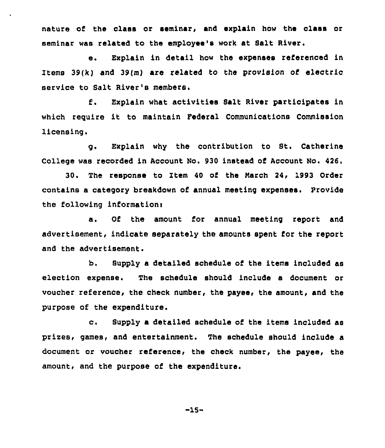nature of the class or seminar, and explain how the class or seminar was related to the employee's work at Salt River,

e. Explain in detail how the expenses referenced in Items 39(k) and 39(m) are related to the provision of electric service to Salt River's members.

f. Explain what activities Salt River participates in which require it to maintain Federal Communications Commission licensing.

g. Explain why the contribution to St. Catherine College was recorded in Account No. 930 instead of Account No. 426

'0. The response to Item 40 of the Narch 24, 1993 Order contains a category breakdown of annual meeting expenses. Provide the following information:

a. Of the amount for annual meeting report and advertisement, indicate separately the amounts spent for the report and the advertisement.

b. Supply a detailed schedule oi the items included as election expense. The schedule should include a document or voucher reference, the check number, the payee, the amount, and the purpose of the expenditure.

c. Supply <sup>a</sup> detailed schedule of the items included as prizes, games, and entertainment. The schedule should include a document or voucher reference, the check number, the payee, the amount, and the purpose of the expenditure.

-15-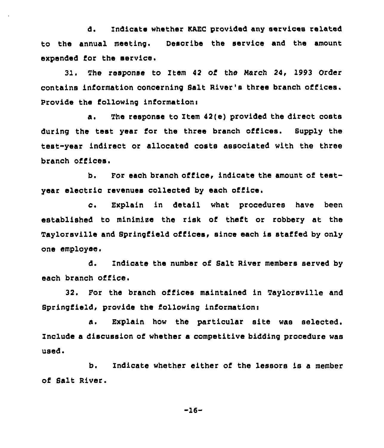d. Indicate whether KAEC provided any services related to tha annual meeting. Describe the service and the amount expended for the service.

31. The response to Item 42 of the March 24, l993 Order contains information concerning Salt River's three branch offices. Provide the following information:

a. The response to Item 42(e) provided the direct costs during the test year for the three branch offices. Supply the test-year indirect or allocated costs associated with the three branch offices.

b. For each branch office, indicate the amount of testyear electrio revenues collected by each office,

c. Explain in detail what procedures have been established to minimise the risk of theft or robbery at the Taylorsville and Springfield offices, since each is staffed by only one employee.

d. Indicate the number of Salt River members served by each branch office.

32. For the branch offices maintained in Taylorsville and Springfield, provide the following information:

a. Explain how the particular site was selected. Include a discussion of whether a competitive bidding procedure was used.

b. Indicate whether either of the lessors is a member of Salt River.

 $-16-$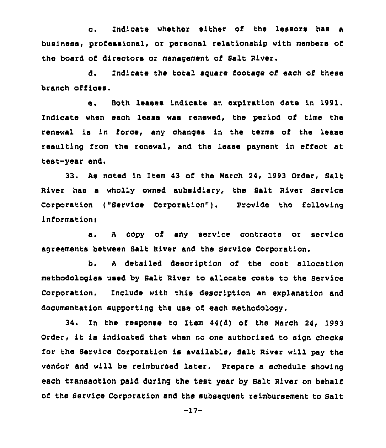c. Indicate whether either of the lessors has <sup>a</sup> business, professional, or personal relationship with members of the board of directors or management of Salt River.

d. Indicate the total square footage of each of these branch offices.

e. Both leases indicate an expiration date in 1991. Indicate when each lease was renewed, the period of time the renewal is in force, any changes in the terms of the lease resulting from the renewal, and the lease payment in effect at test-year end.

33. As noted in Item 43 of the March 24, 1993 Order, Salt River has a wholly owned subsidiary, the Salt River Service Corporation ("Service Corporation"). Provide the following information:

a. <sup>A</sup> copy of any service contracts or service agreements between Balt River and the Bexvice Coxporation.

b. <sup>A</sup> detailed description of the cost allocation methodologies used by Salt River to allocate costs to the Service Corporation. Include with this description an explanation and documentation supporting the use of each methodology.

34. Zn the response to Item 44(d) of the March 24, 1993 Order, it is indicated that when no one authorised to sign checks for the Service Corporation is available, Salt River will pay the vendor and will be reimbursed later. Prepare a schedule showing each transaction paid during the test year by Salt River on behalf of the Service Corporation and the subsequent reimbursement to salt

 $-17-$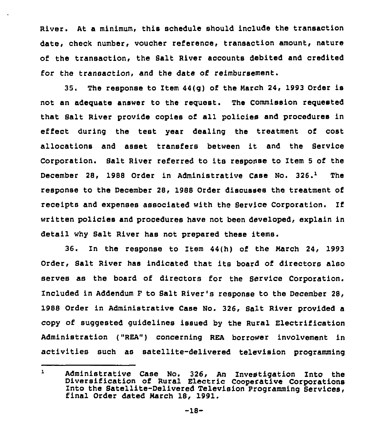River. At a minimum, this schedule should include the transaction date, check number, voucher reference, transaction amount, nature of the transaction, the Balt River accounts debited and credited for the transaction, and the date of reimbursement.

35. The response to Item 44(g) of the Narch 24, 1993 Order is not an adequate answer to the request. The Commission requested that Salt River provide copies of all policies and procedures in effect during the test year dealing the treatment of cost allocations and asset transfers between it and the Service Corporation. Balt River referred to its response to Item <sup>5</sup> of the December 28, 1988 Order in Administrative Case No. 326.<sup>1</sup> The response to the December 28, 1988 Order discusees the treatment of receipts and expenses associated with the Service Corporation. If written policies and procedures have not been developed, explain in detail why Salt River has not prepared these items.

36. In the response to Item 44(h) of the Narch 24, 1993 Order, Salt River has indicated that its board of directors also serves as the board of directors for the Service Corporation. Included in Addendum F to Balt River's response to the December 28, 1988 Order in Administrative Case No. 326, Salt River provided a copy of suggested guidelines issued by the Rural Electrification Administration ("REA") concerning REA borrower involvement in activities such as satellite-delivered television programming

 $\mathbf{1}$ Administrative Case No. 326, An Investigation Into the Diversification of Rural Electric Cooperative Corporations Into the Satellite-Delivered Television programming Services, final Order dated Narch 18, 1991.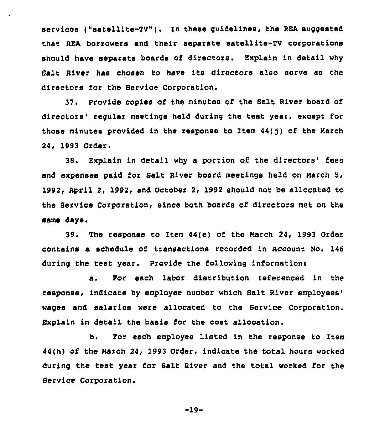services ("satellite-TV"). In these quidelines, the REA suggested that REA borrowers and their separate satellite-TV corporations should have separate boards of directors. Explain in detail why Sa1t River has chosen to have its directors also serve as the directors for the Service Corporation.

37. Provide copies of the minutes of the Salt River board of directors'egular meetings held during the test year, except for those minutes provided in the response to Item  $44(1)$  of the March 24, 1993 Order.

38. Explain in detail why a portion of the directors' fees and expenses paid for Salt River board meetings held on March 5, 1992, April 2, 1992, snd October 2, 1992 should not be allocated to the Service Corporation, since both boards of directors met on the same days.

The response to Item 44(e) of the Narch 24, 1993 Order contains a schedule of transactions recorded in Account No. 146 during the test year. Provide the following information:

a. For each labor distribution referenced in the response, indicate by employee number which Salt River wages and salaries were allocated to the Service Corporation. Explain in detail the basis for the cost allocation.

b. For each employee listed in the response to Item 44(h) of the Narch 24, 1993 Order, indicate the total hours worked during the test year for Salt River and the total worked for the Service Corporation.

$$
-19-
$$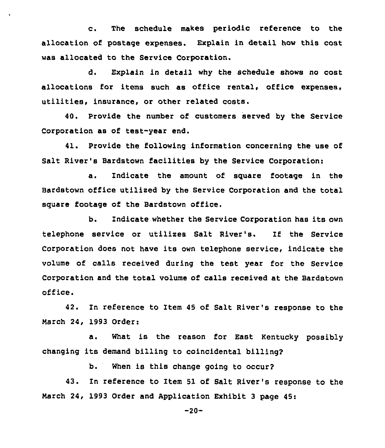c. The schedule makes periodic reference to the allocation of postage expenses. Explain in detail how this cost was allocated to the Service Corporation.

d. Explain in detail why the schedule shows no cost allocations for items such as office rental, office expenses, utilities, insurance, or other related costs.

40. Provide the number of customers served by the Service Corporation as of test-year end.

41. Provide the following information concerning the use of Salt River's Bardstown facilities by the Service Corporation:

a. Indicate the amount of square footage in the Bardstown office utilised by the Service Corporation and the total square footage of the Bardstown office.

b, Indicate whether the Service Corporation has its own telephone service or utilixes Salt River's. If the Service Corporation does not have its own telephone service, indicate the volume of calls received during the test year for the Service Corporation and the total volume of calls received at the Bardstown office.

42. In reference to Item 45 of Salt River's response to the March 24, 1993 Order:

a. What is the reason for East Kentucky possibly changing its demand billing to coincidental billing?

b. When is this change going to occur?

43. In reference to Item 51 of Salt River's response to the March 24, 1993 Order and Application Exhibit 3 page 45:

 $-20-$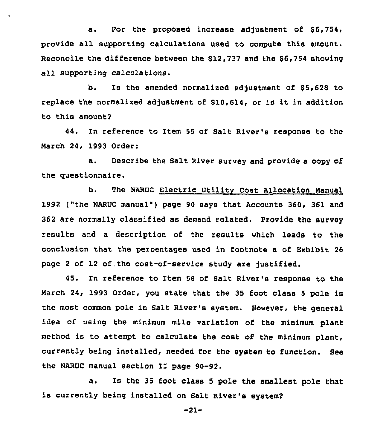a. For the proposed increase adjustment of \$6,754, provide all supporting calculations used to compute this amount. Reconcile the difference between the \$12,737 and the \$6,754 showing all supporting calculations.

b. Is the amended normalized adjustment of \$5,628 to replace the normalized adjustment of \$10,614, or is it in addition to this amount?

44. In reference to Item 55 of Salt River's response to the Narch 24, 1993 Order:

a. Describe the Salt River survey and provide a copy of the questionnaire.

b. The NARUC Electric Utility Cost Allocation Manual 1992 ("the NARUC manual" ) page 90 says that Accounts 360, 361 and 362 are normally classified as demand related. Provide the survey results and a description of the results which leads to the conclusion that the percentages used in footnote a of Exhibit 26 page <sup>2</sup> of 12 of. the cost-of-service study are justified.

45. In reference to Item 58 of Salt River's response to the March 24, 1993 Order, you state that the 35 foot class <sup>5</sup> pole is the most common pole in Salt River's system. However, the general idea of using the minimum mile variation of the minimum plant method is to attempt to calculate the cost of the minimum plant, currently being installed, needed for the system to function. See the NARUC manual section II page 90-92.

a. Is the <sup>35</sup> foot class <sup>5</sup> pole the smallest pole that is currently being installed on Salt River's system?

-21-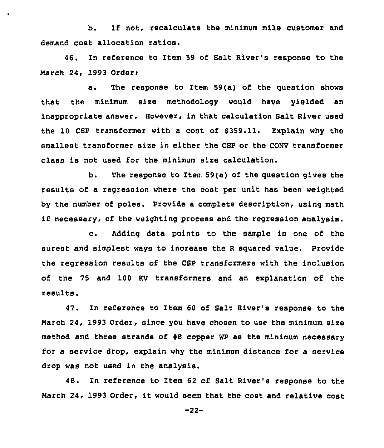b. If not, recalculate the minimum mile customer and demand cost allocation ratios.

46. In reference to Item 59 of Salt River's response to the March 24, 1993 Order:

a. The response to Item 59(a) of the question shows that the minimum size methodology would have yielded an inappropriate answer. However, in that calculation Salt River used the 10 CSP transformer with a cost of \$359.11. Explain why the smallest transformer size in either the CSP or the CONV transformer class is not used for the minimum size calculation.

b. The response to Item 59(a) of the question gives the results of a regression where the cost per unit has been weighted by the number of poles. Provide a complete description, using math if necessary, of the weighting process and the regression analysis.

c. Adding data points to the sample is one of the surest and simplest ways to increase the <sup>R</sup> squared value. Provide the regression results of the CSP transformers with the inclusion of the 75 and 100 KV transformers and an explanation of the results.

47. In reference to Item 60 of Salt River's response to the March 24, 1993 Order, since you have chosen to use the minimum size method and three strands of  $#8$  copper WP as the minimum necessary for a service drop, explain why the minimum distance for a service drop was not used in the analysis.

48. In reference to Item 62 of Salt River's response to the March 24, 1993 Order, it would seem that the cost and relative cost

-22-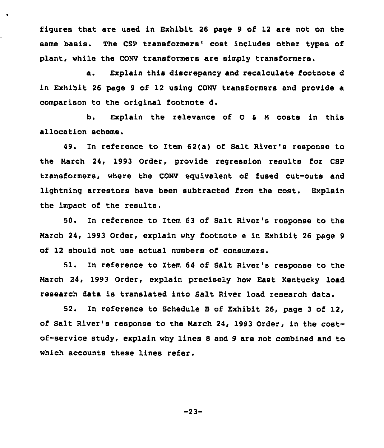figures that are used in Exhibit 26 page 9 of 12 are not on the same basis. The CSP transformers' cost includes other types of plant, while the CONV transformers are simply transformers.

 $\bullet$ 

a. Explain this discrepancy and recalculate footnote <sup>d</sup> in Exhibit 26 page 9 of 12 using CONV transformers and provide a comparison to the original footnote d.

b. Explain the relevance of 0 <sup>a</sup> <sup>N</sup> costs in this allocation scheme.

49. In reference to Item 62(a} of Salt River's response to the March 24, 1993 Order, provide regression results for CBP transformers, where the CONV equivalent of fused cut-outs and lightning arrestors have been subtracted from the cost. Explain the impact of the results.

50. In reference to Item 63 of Bait River's response to the March 24, 1993 Order, explain why footnote e in Exhibit 26 page 9 of 12 should not use actual numbers of consumers.

 $51.$ In reference to Item 64 of Balt River's response to the March 24, 1993 Order, explain precisely how East Kentucky load research data is translated into Balt River load research data.

52. In reference to Schedule B of Exhibit 26, page <sup>3</sup> of 12/ of Salt River's response to the March 24, 1993 Order, in the costof-service study, explain why lines <sup>S</sup> and 9 are not combined and to which accounts these lines refer.

-23-